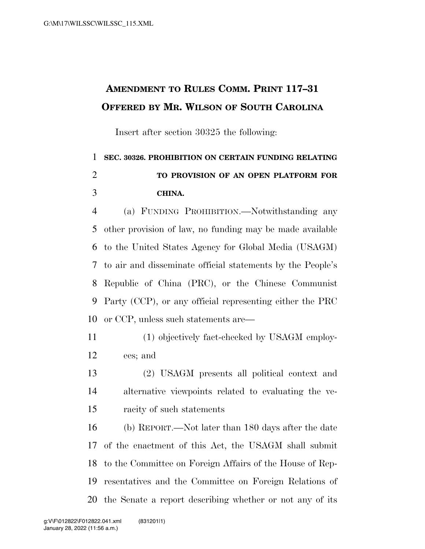## **AMENDMENT TO RULES COMM. PRINT 117–31 OFFERED BY MR. WILSON OF SOUTH CAROLINA**

Insert after section 30325 the following:

## **SEC. 30326. PROHIBITION ON CERTAIN FUNDING RELATING TO PROVISION OF AN OPEN PLATFORM FOR CHINA.**

 (a) FUNDING PROHIBITION.—Notwithstanding any other provision of law, no funding may be made available to the United States Agency for Global Media (USAGM) to air and disseminate official statements by the People's Republic of China (PRC), or the Chinese Communist Party (CCP), or any official representing either the PRC or CCP, unless such statements are—

- (1) objectively fact-checked by USAGM employ-ees; and
- (2) USAGM presents all political context and alternative viewpoints related to evaluating the ve-racity of such statements

 (b) REPORT.—Not later than 180 days after the date of the enactment of this Act, the USAGM shall submit to the Committee on Foreign Affairs of the House of Rep- resentatives and the Committee on Foreign Relations of the Senate a report describing whether or not any of its